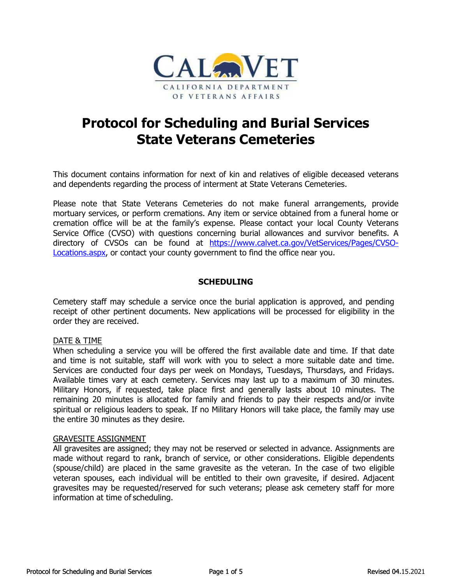

# **State Veterans Cemeteries**

 and dependents regarding the process of interment at State Veterans Cemeteries. This document contains information for next of kin and relatives of eligible deceased veterans

 Please note that State Veterans Cemeteries do not make funeral arrangements, provide mortuary services, or perform cremations. Any item or service obtained from a funeral home or spendents regarding the process of interment at State Veterans Cemete<br>note that State Veterans Cemeteries do not make funeral arra<br>ary services, or perform cremations. Any item or service obtained from<br>tion office will be cremation office will be at the family's expense. Please contact your local County Veterans Service Office (CVSO) with questions concerning burial allowances and survivor benefits. A directory of CVSOs can be found at [https://www.calvet.ca.gov/VetServices/Pages/CVSO-](https://www.calvet.ca.gov/VetServices/Pages/CVSO)Locations.aspx, or contact your county government to find the office near you.

# **SCHEDULING**

Cemetery staff may schedule a service once the burial application is approved, and pending receipt of other pertinent documents. New applications will be processed for eligibility in the order they are received.

#### DATE & TIME

 When scheduling a service you will be offered the first available date and time. If that date and time is not suitable, staff will work with you to select a more suitable date and time. Available times vary at each cemetery. Services may last up to a maximum of 30 minutes. Military Honors, if requested, take place first and generally lasts about 10 minutes. The is not suitable, staff will work with you to select a more<br>are conducted four days per week on Mondays, Tuesdays,<br>times vary at each cemetery. Services may last up to a r<br>donors, if requested, take place first and generall **Protocol for Scheduling and Burial Services**<br> **State Veterans Cemeteries**<br> **State Veterans Cemeteries**<br> **Examplement contains information for next of kin and relatives of eligible deceased vendents regarding the process o** Services are conducted four days per week on Mondays, Tuesdays, Thursdays, and Fridays. remaining 20 minutes is allocated for family and friends to pay their respects and/or invite spiritual or religious leaders to speak. If no Military Honors will take place, the family may use the entire 30 minutes as they desire.

#### GRAVESITE ASSIGNMENT

 made without regard to rank, branch of service, or other considerations. Eligible dependents (spouse/child) are placed in the same gravesite as the veteran. In the case of two eligible veteran spouses, each individual will be entitled to their own gravesite, if desired. Adjacent All gravesites are assigned; they may not be reserved or selected in advance. Assignments are gravesites may be requested/reserved for such veterans; please ask cemetery staff for more information at time of scheduling.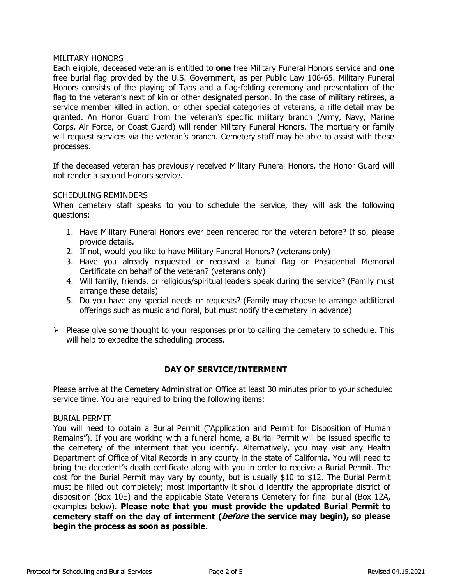## MILITARY HONORS

 granted. An Honor Guard from the veteran's specific military branch (Army, Navy, Marine (Army, Nav)<br>The mortuary<br>Jole to assist<br>i, the Honor<br>will ask the<br>n before? If Each eligible, deceased veteran is entitled to **one** free Military Funeral Honors service and **one** free burial flag provided by the U.S. Government, as per Public Law 106-65. Military Funeral Honors consists of the playing of Taps and a flag-folding ceremony and presentation of the flag to the veteran's next of kin or other designated person. In the case of military retirees, a service member killed in action, or other special categories of veterans, a rifle detail may be Corps, Air Force, or Coast Guard) will render Military Funeral Honors. The mortuary or family will request services via the veteran's branch. Cemetery staff may be able to assist with these processes.

If the deceased veteran has previously received Military Funeral Honors, the Honor Guard will not render a second Honors service.

#### SCHEDULING REMINDERS

When cemetery staff speaks to you to schedule the service, they will ask the following questions:

- 1. Have Military Funeral Honors ever been rendered for the veteran before? If so, please provide details.
- 2. If not, would you like to have Military Funeral Honors? (veterans only)
- 3. Have you already requested or received a burial flag or Presidential Memorial Certificate on behalf of the veteran? (veterans only)
- 4. Will family, friends, or religious/spiritual leaders speak during the service? (Family must arrange these details)
- offerings such as music and floral, but must notify the cemetery in advance) 5. Do you have any special needs or requests? (Family may choose to arrange additional
- $\triangleright$  Please give some thought to your responses prior to calling the cemetery to schedule. This will help to expedite the scheduling process.

# **DAY OF SERVICE/INTERMENT**

Please arrive at the Cemetery Administration Office at least 30 minutes prior to your scheduled service time. You are required to bring the following items:

#### BURIAL PERMIT

 the cemetery of the interment that you identify. Alternatively, you may visit any Health Department of Office of Vital Records in any county in the state of California. You will need to bring the decedent's death certificate along with you in order to receive a Burial Permit. The must be filled out completely; most importantly it should identify the appropriate district of examples below). **Please note that you must provide the updated Burial Permit to** offerings such as music and floral, but must notify the cemetery in advance.<br>
Please give some thought to your responses prior to calling the cemetery to<br>
will help to expedite the scheduling process.<br> **DAY OF SERVICE/INTE** MILITARY HONORS<br>Each eligible, decea<br>free burial flag prov<br>Honors consists of<br>flag to the veteran's<br>service member kill<br>granted. An Honor<br>Corps, Air Force, or<br>will request service:<br>processes.<br>If the deceased vet<br>not render You will need to obtain a Burial Permit ("Application and Permit for Disposition of Human Remains"). If you are working with a funeral home, a Burial Permit will be issued specific to cost for the Burial Permit may vary by county, but is usually \$10 to \$12. The Burial Permit disposition (Box 10E) and the applicable State Veterans Cemetery for final burial (Box 12A, **cemetery staff on the day of interment (before the service may begin), so please begin the process as soon as possible.**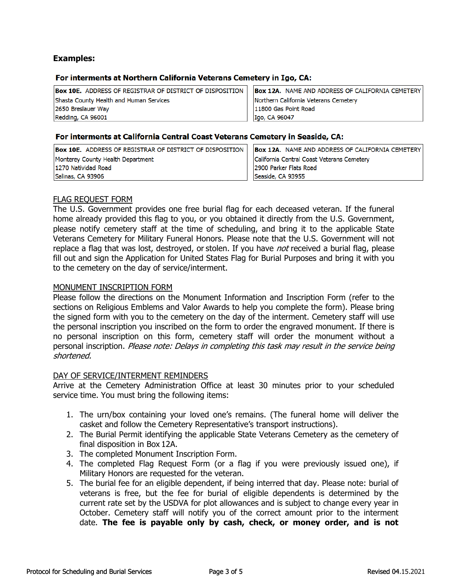# **Examples:**

## For interments at Northern California Veterans Cemetery in Igo, CA:

| <b>Box 10E.</b> ADDRESS OF REGISTRAR OF DISTRICT OF DISPOSITION | <b>Box 12A.</b> NAME AND ADDRESS OF CALIFORNIA CEMETERY |
|-----------------------------------------------------------------|---------------------------------------------------------|
| Shasta County Health and Human Services                         | Northern California Veterans Cemetery                   |
| 2650 Breslauer Way                                              | 11800 Gas Point Road                                    |
| Redding, CA 96001                                               | Igo, CA 96047                                           |

#### For interments at California Central Coast Veterans Cemetery in Seaside, CA:

| <b>Box 10E.</b> ADDRESS OF REGISTRAR OF DISTRICT OF DISPOSITION | <b>Box 12A.</b> NAME AND ADDRESS OF CALIFORNIA CEMETERY |
|-----------------------------------------------------------------|---------------------------------------------------------|
| Monterey County Health Department                               | California Central Coast Veterans Cemetery              |
| 1270 Natividad Road                                             | 2900 Parker Flats Road                                  |
| Salinas, CA 93906                                               | Seaside, CA 93955                                       |

## FLAG REQUEST FORM

 The U.S. Government provides one free burial flag for each deceased veteran. If the funeral replace a flag that was lost, destroyed, or stolen. If you have *not* received a burial flag, please **Examples:**<br> **For interments at 1**<br> **Eox 10E.** ADDRESS OF I<br>
Shasta County Health and<br>
2650 Breslauer Way<br>
Redding, CA 96001<br> **For interments at 4**<br> **For interments at 4**<br> **For interments at 4**<br> **For interments at 4**<br> **For** home already provided this flag to you, or you obtained it directly from the U.S. Government, please notify cemetery staff at the time of scheduling, and bring it to the applicable State Veterans Cemetery for Military Funeral Honors. Please note that the U.S. Government will not fill out and sign the Application for United States Flag for Burial Purposes and bring it with you to the cemetery on the day of service/interment.

## MONUMENT INSCRIPTION FORM

 sections on Religious Emblems and Valor Awards to help you complete the form). Please bring the personal inscription you inscribed on the form to order the engraved monument. If there is no personal inscription on this form, cemetery staff will order the monument without a Covernment provides one free burial flagmed and the completed Monument Dividel Flagmeth Cometery for Military Funeral Honors. Plear a flagmeth was lost, destroyed, or stolen. If the main sign the Application for United Sta Please follow the directions on the Monument Information and Inscription Form (refer to the the signed form with you to the cemetery on the day of the interment. Cemetery staff will use personal inscription. Please note: Delays in completing this task may result in the service being shortened.

#### DAY OF SERVICE/INTERMENT REMINDERS

Arrive at the Cemetery Administration Office at least 30 minutes prior to your scheduled service time. You must bring the following items:

- 1. The urn/box containing your loved one's remains. (The funeral home will deliver the casket and follow the Cemetery Representative's transport instructions).
- 2. The Burial Permit identifying the applicable State Veterans Cemetery as the cemetery of final disposition in Box 12A.
- 3. The completed Monument Inscription Form.
- 4. The completed Flag Request Form (or a flag if you were previously issued one), if Military Honors are requested for the veteran.
- 5. The burial fee for an eligible dependent, if being interred that day. Please note: burial of The burial fee for an eligible dependent, if being interred that day. Please note: burial of<br>veterans is free, but the fee for burial of eligible dependents is determined by the current rate set by the USDVA for plot allowances and is subject to change every year in October. Cemetery staff will notify you of the correct amount prior to the interment date. **The fee is payable only by cash, check, or money order, and is not**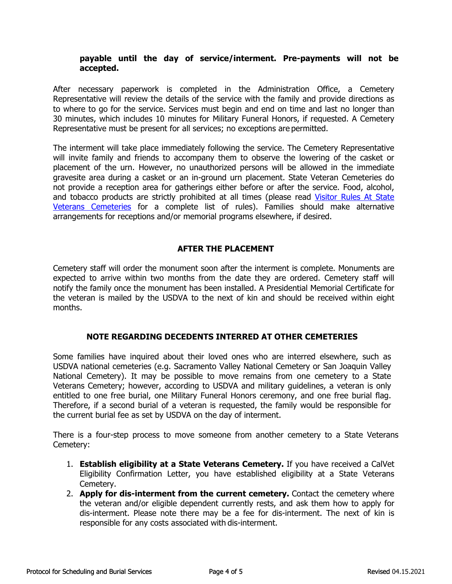# **payable until the day of service/interment. Pre-payments will not be accepted.**

 After necessary paperwork is completed in the Administration Office, a Cemetery Representative will review the details of the service with the family and provide directions as **il the day of service/interment. Pre-payments**<br>perwork is completed in the Administration Office,<br>view the details of the service with the family and provide<br>e service. Services must begin and end on time and last r<br>clude to where to go for the service. Services must begin and end on time and last no longer than 30 minutes, which includes 10 minutes for Military Funeral Honors, if requested. A Cemetery Representative must be present for all services; no exceptions are permitted.

 gravesite area during a casket or an in-ground urn placement. State Veteran Cemeteries do Veterans Cemeteries for a complete list of rules). Families should make alternative The interment will take place immediately following the service. The Cemetery Representative will invite family and friends to accompany them to observe the lowering of the casket or placement of the urn. However, no unauthorized persons will be allowed in the immediate not provide a reception area for gatherings either before or after the service. Food, alcohol, and tobacco products are strictly prohibited at all times (please read Visitor Rules At State arrangements for receptions and/or memorial programs elsewhere, if desired.

## **AFTER THE PLACEMENT**

 the veteran is mailed by the USDVA to the next of kin and should be received within eight Cemetery staff will order the monument soon after the interment is complete. Monuments are expected to arrive within two months from the date they are ordered. Cemetery staff will notify the family once the monument has been installed. A Presidential Memorial Certificate for months.

# **NOTE REGARDING DECEDENTS INTERRED AT OTHER CEMETERIES**

 Some families have inquired about their loved ones who are interred elsewhere, such as National Cemetery). It may be possible to move remains from one cemetery to a State USDVA national cemeteries (e.g. Sacramento Valley National Cemetery or San Joaquin Valley Veterans Cemetery; however, according to USDVA and military guidelines, a veteran is only entitled to one free burial, one Military Funeral Honors ceremony, and one free burial flag. Therefore, if a second burial of a veteran is requested, the family would be responsible for the current burial fee as set by USDVA on the day of interment.

There is a four-step process to move someone from another cemetery to a State Veterans Cemetery:

- 1. **Establish eligibility at a State Veterans Cemetery.** If you have received a CalVet Eligibility Confirmation Letter, you have established eligibility at a State Veterans Cemetery.
- the veteran and/or eligible dependent currently rests, and ask them how to apply for dis-interment. Please note there may be a fee for dis-interment. The next of kin is **a State Veterans Cemetery.** If you have<br>Letter, you have established eligibility at a<br>**nt from the current cemetery.** Contact the<br>ble dependent currently rests, and ask them<br>te there may be a fee for dis-interment. T 2. **Apply for dis-interment from the current cemetery.** Contact the cemetery where responsible for any costs associated with dis-interment.